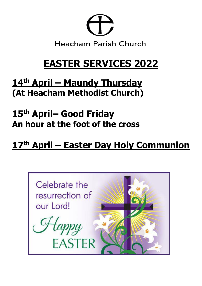

# **EASTER SERVICES 2022**

# **14 th April – Maundy Thursday (At Heacham Methodist Church)**

# **15 th April– Good Friday An hour at the foot of the cross**

# **17th April – Easter Day Holy Communion**

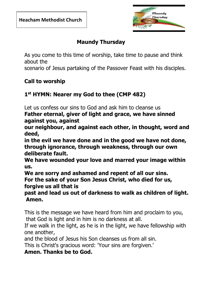

# **Maundy Thursday**

As you come to this time of worship, take time to pause and think about the

scenario of Jesus partaking of the Passover Feast with his disciples.

# **Call to worship**

# **1 st HYMN: Nearer my God to thee (CMP 482)**

Let us confess our sins to God and ask him to cleanse us

**Father eternal, giver of light and grace, we have sinned against you, against**

**our neighbour, and against each other, in thought, word and deed,**

**in the evil we have done and in the good we have not done, through ignorance, through weakness, through our own deliberate fault.**

**We have wounded your love and marred your image within us.**

**We are sorry and ashamed and repent of all our sins. For the sake of your Son Jesus Christ, who died for us, forgive us all that is**

**past and lead us out of darkness to walk as children of light. Amen.**

This is the message we have heard from him and proclaim to you, that God is light and in him is no darkness at all.

If we walk in the light, as he is in the light, we have fellowship with one another,

and the blood of Jesus his Son cleanses us from all sin.

This is Christ's gracious word: 'Your sins are forgiven.'

**Amen. Thanks be to God.**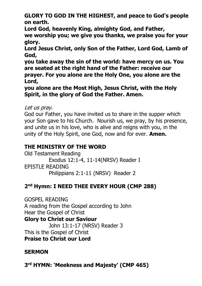**GLORY TO GOD IN THE HIGHEST, and peace to God's people on earth.**

**Lord God, heavenly King, almighty God, and Father, we worship you; we give you thanks, we praise you for your glory.**

**Lord Jesus Christ, only Son of the Father, Lord God, Lamb of God,**

**you take away the sin of the world: have mercy on us. You are seated at the right hand of the Father: receive our prayer. For you alone are the Holy One, you alone are the Lord,**

**you alone are the Most High, Jesus Christ, with the Holy Spirit, in the glory of God the Father. Amen.**

Let us pray.

God our Father, you have invited us to share in the supper which your Son gave to his Church. Nourish us, we pray, by his presence, and unite us in his love, who is alive and reigns with you, in the unity of the Holy Spirit, one God, now and for ever. **Amen.**

# **THE MINISTRY OF THE WORD**

Old Testament Reading Exodus 12:1-4, 11-14(NRSV) Reader I **EPISTLE READING** Philippians 2:1-11 (NRSV) Reader 2

# **2 nd Hymn: I NEED THEE EVERY HOUR (CMP 288)**

GOSPEL READING A reading from the Gospel according to John Hear the Gospel of Christ **Glory to Christ our Saviour** John 13:1-17 (NRSV) Reader 3 This is the Gospel of Christ **Praise to Christ our Lord**

# **SERMON**

**3 rd HYMN: 'Meekness and Majesty' (CMP 465)**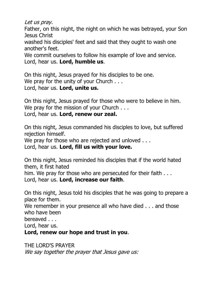Let us pray.

Father, on this night, the night on which he was betrayed, your Son Jesus Christ

washed his disciples' feet and said that they ought to wash one another's feet.

We commit ourselves to follow his example of love and service. Lord, hear us. **Lord, humble us**.

On this night, Jesus prayed for his disciples to be one. We pray for the unity of your Church . . . Lord, hear us. **Lord, unite us.**

On this night, Jesus prayed for those who were to believe in him. We pray for the mission of your Church . . .

Lord, hear us. **Lord, renew our zeal.**

On this night, Jesus commanded his disciples to love, but suffered rejection himself.

We pray for those who are rejected and unloved  $\dots$ 

Lord, hear us. **Lord, fill us with your love.**

On this night, Jesus reminded his disciples that if the world hated them, it first hated him. We pray for those who are persecuted for their faith . . . Lord, hear us. **Lord, increase our faith**.

On this night, Jesus told his disciples that he was going to prepare a place for them.

We remember in your presence all who have died . . . and those who have been

bereaved . . .

Lord, hear us.

#### **Lord, renew our hope and trust in you**.

THE LORD'S PRAYER We say together the prayer that Jesus gave us: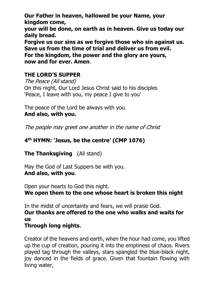**Our Father in heaven, hallowed be your Name, your kingdom come,** 

**your will be done, on earth as in heaven. Give us today our daily bread.** 

**Forgive us our sins as we forgive those who sin against us. Save us from the time of trial and deliver us from evil. For the kingdom, the power and the glory are yours, now and for ever. Amen**.

# **THE LORD'S SUPPER**

The Peace (All stand) On this night, Our Lord Jesus Christ said to his disciples 'Peace, I leave with you, my peace I give to you'

The peace of the Lord be always with you. **And also, with you.**

The people may greet one another in the name of Christ

## **4 th HYMN: 'Jesus, be the centre' (CMP 1076)**

**The Thanksgiving** (All stand)

May the God of Last Suppers be with you. **And also, with you**.

Open your hearts to God this night.

**We open them to the one whose heart is broken this night**

In the midst of uncertainty and fears, we will praise God.

**Our thanks are offered to the one who walks and waits for us**

# **Through long nights.**

Creator of the heavens and earth, when the hour had come, you lifted up the cup of creation, pouring it into the emptiness of chaos. Rivers played tag through the valleys, stars spangled the blue-black night, joy danced in the fields of grace. Given that fountain flowing with living water,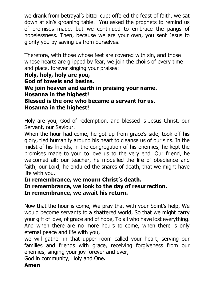we drank from betrayal's bitter cup; offered the feast of faith, we sat down at sin's groaning table. You asked the prophets to remind us of promises made, but we continued to embrace the pangs of hopelessness. Then, because we are your own, you sent Jesus to glorify you by saving us from ourselves.

Therefore, with those whose feet are covered with sin, and those whose hearts are gripped by fear, we join the choirs of every time and place, forever singing your praises:

**Holy, holy, holy are you, God of towels and basins.**

# **We join heaven and earth in praising your name. Hosanna in the highest!**

#### **Blessed is the one who became a servant for us. Hosanna in the highest!**

Holy are you, God of redemption, and blessed is Jesus Christ, our Servant, our Saviour.

When the hour had come, he got up from grace's side, took off his glory, tied humanity around his heart to cleanse us of our sins. In the midst of his friends, in the congregation of his enemies, he kept the promises made to you: to love us to the very end. Our friend, he welcomed all; our teacher, he modelled the life of obedience and faith; our Lord, he endured the snares of death, that we might have life with you.

#### **In remembrance, we mourn Christ's death.**

#### **In remembrance, we look to the day of resurrection. In remembrance, we await his return.**

Now that the hour is come, We pray that with your Spirit's help, We would become servants to a shattered world, So that we might carry your gift of love, of grace and of hope, To all who have lost everything. And when there are no more hours to come, when there is only eternal peace and life with you,

we will gather in that upper room called your heart, serving our families and friends with grace, receiving forgiveness from our enemies, singing your joy forever and ever,

God in community, Holy and One**.**

## **Amen**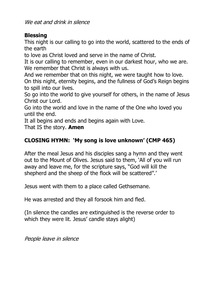We eat and drink in silence

## **Blessing**

This night is our calling to go into the world, scattered to the ends of the earth

to love as Christ loved and serve in the name of Christ.

It is our calling to remember, even in our darkest hour, who we are. We remember that Christ is always with us.

And we remember that on this night, we were taught how to love. On this night, eternity begins, and the fullness of God's Reign begins to spill into our lives.

So go into the world to give yourself for others, in the name of Jesus Christ our Lord.

Go into the world and love in the name of the One who loved you until the end.

It all begins and ends and begins again with Love.

That IS the story. **Amen**

# **CLOSING HYMN: 'My song is love unknown' (CMP 465)**

After the meal Jesus and his disciples sang a hymn and they went out to the Mount of Olives. Jesus said to them, 'All of you will run away and leave me, for the scripture says, "God will kill the shepherd and the sheep of the flock will be scattered".'

Jesus went with them to a place called Gethsemane.

He was arrested and they all forsook him and fled.

(In silence the candles are extinguished is the reverse order to which they were lit. Jesus' candle stays alight)

People leave in silence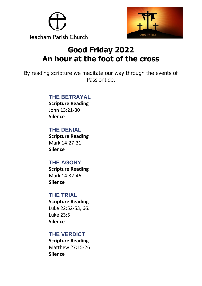



# **Good Friday 2022 An hour at the foot of the cross**

By reading scripture we meditate our way through the events of Passiontide.

#### **THE BETRAYAL**

**Scripture Reading** John 13:21-30 **Silence**

#### **THE DENIAL**

**Scripture Reading** Mark 14:27-31 **Silence**

# **THE AGONY**

**Scripture Reading** Mark 14:32-46 **Silence**

#### **THE TRIAL**

**Scripture Reading** Luke 22:52-53, 66. Luke 23:5 **Silence**

#### **THE VERDICT**

**Scripture Reading** Matthew 27:15-26 **Silence**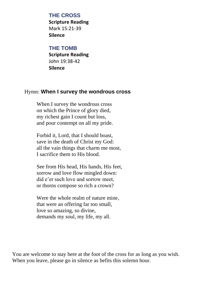#### **THE CROSS**

**Scripture Reading** Mark 15:21-39 **Silence**

#### **THE TOMB**

**Scripture Reading** John 19:38-42 **Silence**

#### Hymn: **When I survey the wondrous cross**

When I survey the wondrous cross on which the Prince of glory died, my richest gain I count but loss, and pour contempt on all my pride.

Forbid it, Lord, that I should boast, save in the death of Christ my God: all the vain things that charm me most, I sacrifice them to His blood.

See from His head, His hands, His feet, sorrow and love flow mingled down: did e'er such love and sorrow meet, or thorns compose so rich a crown?

Were the whole realm of nature mine, that were an offering far too small, love so amazing, so divine, demands my soul, my life, my all.

You are welcome to stay here at the foot of the cross for as long as you wish. When you leave, please go in silence as befits this solemn hour.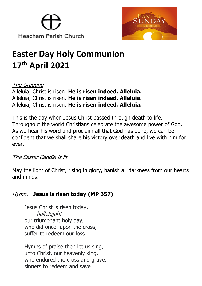



# **Easter Day Holy Communion 17th April 2021**

#### The Greeting

Alleluia, Christ is risen. **He is risen indeed, Alleluia.** Alleluia, Christ is risen. **He is risen indeed, Alleluia.** Alleluia, Christ is risen. **He is risen indeed, Alleluia.**

This is the day when Jesus Christ passed through death to life. Throughout the world Christians celebrate the awesome power of God. As we hear his word and proclaim all that God has done, we can be confident that we shall share his victory over death and live with him for ever.

#### The Easter Candle is lit

May the light of Christ, rising in glory, banish all darkness from our hearts and minds.

## Hymn: **Jesus is risen today (MP 357)**

Jesus Christ is risen today, hallelujah! our triumphant holy day, who did once, upon the cross, suffer to redeem our loss.

Hymns of praise then let us sing, unto Christ, our heavenly king, who endured the cross and grave, sinners to redeem and save.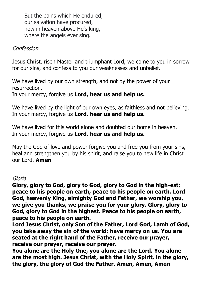But the pains which He endured, our salvation have procured, now in heaven above He's king, where the angels ever sing.

#### **Confession**

Jesus Christ, risen Master and triumphant Lord, we come to you in sorrow for our sins, and confess to you our weaknesses and unbelief.

We have lived by our own strength, and not by the power of your resurrection.

In your mercy, forgive us **Lord, hear us and help us.**

We have lived by the light of our own eyes, as faithless and not believing. In your mercy, forgive us **Lord, hear us and help us.**

We have lived for this world alone and doubted our home in heaven. In your mercy, forgive us **Lord, hear us and help us.**

May the God of love and power forgive you and free you from your sins, heal and strengthen you by his spirit, and raise you to new life in Christ our Lord. **Amen** 

#### Gloria

**Glory, glory to God, glory to God, glory to God in the high-est; peace to his people on earth, peace to his people on earth. Lord God, heavenly King, almighty God and Father, we worship you, we give you thanks, we praise you for your glory. Glory, glory to God, glory to God in the highest. Peace to his people on earth, peace to his people on earth.** 

**Lord Jesus Christ, only Son of the Father, Lord God, Lamb of God, you take away the sin of the world; have mercy on us. You are seated at the right hand of the Father, receive our prayer, receive our prayer, receive our prayer.** 

**You alone are the Holy One, you alone are the Lord. You alone are the most high. Jesus Christ, with the Holy Spirit, in the glory, the glory, the glory of God the Father. Amen, Amen, Amen**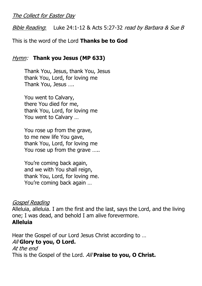#### The Collect for Easter Day

Bible Reading: Luke 24:1-12 & Acts 5:27-32 read by Barbara & Sue B

## This is the word of the Lord **Thanks be to God**

## Hymn: **Thank you Jesus (MP 633)**

Thank You, Jesus, thank You, Jesus thank You, Lord, for loving me Thank You, Jesus ….

You went to Calvary, there You died for me, thank You, Lord, for loving me You went to Calvary …

You rose up from the grave, to me new life You gave, thank You, Lord, for loving me You rose up from the grave …..

You're coming back again, and we with You shall reign, thank You, Lord, for loving me. You're coming back again …

#### Gospel Reading

Alleluia, alleluia. I am the first and the last, says the Lord, and the living one; I was dead, and behold I am alive forevermore. **Alleluia**

Hear the Gospel of our Lord Jesus Christ according to … All **Glory to you, O Lord.** At the end This is the Gospel of the Lord. All **Praise to you, O Christ.**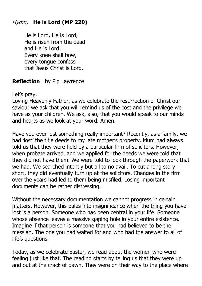# Hymn: **He is Lord (MP 220)**

He is Lord, He is Lord, He is risen from the dead and He is Lord! Every knee shall bow, every tongue confess that Jesus Christ is Lord.

## **Reflection** by Pip Lawrence

#### Let's pray,

Loving Heavenly Father, as we celebrate the resurrection of Christ our saviour we ask that you will remind us of the cost and the privilege we have as your children. We ask, also, that you would speak to our minds and hearts as we look at your word. Amen.

Have you ever lost something really important? Recently, as a family, we had 'lost' the title deeds to my late mother's property. Mum had always told us that they were held by a particular firm of solicitors. However, when probate arrived, and we applied for the deeds we were told that they did not have them. We were told to look through the paperwork that we had. We searched intently but all to no avail. To cut a long story short, they did eventually turn up at the solicitors. Changes in the firm over the years had led to them being misfiled. Losing important documents can be rather distressing.

Without the necessary documentation we cannot progress in certain matters. However, this pales into insignificance when the thing you have lost is a person. Someone who has been central in your life. Someone whose absence leaves a massive gaping hole in your entire existence. Imagine if that person is someone that you had believed to be the messiah. The one you had waited for and who had the answer to all of life's questions.

Today, as we celebrate Easter, we read about the women who were feeling just like that. The reading starts by telling us that they were up and out at the crack of dawn. They were on their way to the place where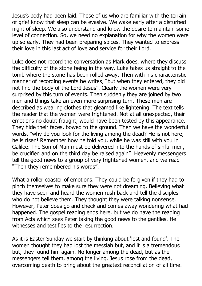Jesus's body had been laid. Those of us who are familiar with the terrain of grief know that sleep can be evasive. We wake early after a disturbed night of sleep. We also understand and know the desire to maintain some level of connection. So, we need no explanation for why the women were up so early. They had been preparing spices. They wanted to express their love in this last act of love and service for their Lord.

Luke does not record the conversation as Mark does, where they discuss the difficulty of the stone being in the way. Luke takes us straight to the tomb where the stone has been rolled away. Then with his characteristic manner of recording events he writes, "but when they entered, they did not find the body of the Lord Jesus". Clearly the women were very surprised by this turn of events. Then suddenly they are joined by two men and things take an even more surprising turn. These men are described as wearing clothes that gleamed like lightening. The text tells the reader that the women were frightened. Not at all unexpected, their emotions no doubt fraught, would have been tested by this appearance. They hide their faces, bowed to the ground. Then we have the wonderful words, "why do you look for the living among the dead? He is not here; he is risen! Remember how he told you, while he was still with you in Galilee. The Son of Man must be delivered into the hands of sinful men, be crucified and on the third day be raised again". Heavenly messengers tell the good news to a group of very frightened women, and we read "Then they remembered his words".

What a roller coaster of emotions. They could be forgiven if they had to pinch themselves to make sure they were not dreaming. Believing what they have seen and heard the women rush back and tell the disciples who do not believe them. They thought they were talking nonsense. However, Peter does go and check and comes away wondering what had happened. The gospel reading ends here, but we do have the reading from Acts which sees Peter taking the good news to the gentiles. He witnesses and testifies to the resurrection.

As it is Easter Sunday we start by thinking about 'lost and found'. The women thought they had lost the messiah but, and it is a tremendous but, they found him again. No longer among the dead, but as the messengers tell them, among the living. Jesus rose from the dead, overcoming death to bring about the greatest reconciliation of all time.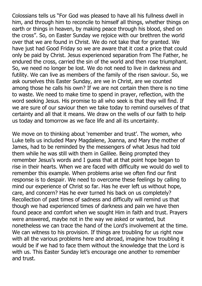Colossians tells us "For God was pleased to have all his fullness dwell in him, and through him to reconcile to himself all things, whether things on earth or things in heaven, by making peace through his blood, shed on the cross". So, on Easter Sunday we rejoice with our brethren the world over that we are found in Christ. We do not take that for granted. We have just had Good Friday so we are aware that it cost a price that could only be paid by Christ. Jesus experienced separation from The Father, he endured the cross, carried the sin of the world and then rose triumphant. So, we need no longer be lost. We do not need to live in darkness and futility. We can live as members of the family of the risen saviour. So, we ask ourselves this Easter Sunday, are we in Christ, are we counted among those he calls his own? If we are not certain then there is no time to waste. We need to make time to spend in prayer, reflection, with the word seeking Jesus. His promise to all who seek is that they will find. If we are sure of our saviour then we take today to remind ourselves of that certainty and all that it means. We draw on the wells of our faith to help us today and tomorrow as we face life and all its uncertainty.

We move on to thinking about 'remember and trust'. The women, who Luke tells us included Mary Magdalene, Joanna, and Mary the mother of James, had to be reminded by the messengers of what Jesus had told them while he was still with them in Galilee. Being prompted they remember Jesus's words and I guess that at that point hope began to rise in their hearts. When we are faced with difficulty we would do well to remember this example. When problems arise we often find our first response is to despair. We need to overcome these feelings by calling to mind our experience of Christ so far. Has he ever left us without hope, care, and concern? Has he ever turned his back on us completely? Recollection of past times of sadness and difficulty will remind us that though we had experienced times of darkness and pain we have then found peace and comfort when we sought Him in faith and trust. Prayers were answered, maybe not in the way we asked or wanted, but nonetheless we can trace the hand of the Lord's involvement at the time. We can witness to his provision. If things are troubling for us right now with all the various problems here and abroad, imagine how troubling it would be if we had to face them without the knowledge that the Lord is with us. This Easter Sunday let's encourage one another to remember and trust.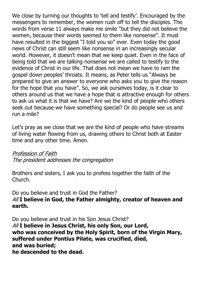We close by turning our thoughts to 'tell and testify'. Encouraged by the messengers to remember, the women rush off to tell the disciples. The words from verse 11 always make me smile "but they did not believe the women, because their words seemed to them like nonsense". It must have resulted in the biggest "I told you so" ever. Even today the good news of Christ can still seem like nonsense in an increasingly secular world. However, it doesn't mean that we keep quiet. Even in the face of being told that we are talking nonsense we are called to testify to the evidence of Christ in our life. That does not mean we have to ram the gospel down peoples' throats. It means, as Peter tells us "Always be prepared to give an answer to everyone who asks you to give the reason for the hope that you have". So, we ask ourselves today, is it clear to others around us that we have a hope that is attractive enough for others to ask us what it is that we have? Are we the kind of people who others seek out because we have something special? Or do people see us and run a mile?

Let's pray as we close that we are the kind of people who have streams of living water flowing from us, drawing others to Christ both at Easter time and any other time. Amen.

Profession of Faith The president addresses the congregation

Brothers and sisters, I ask you to profess together the faith of the Church.

Do you believe and trust in God the Father? A//I believe in God, the Father almighty, creator of heaven and **earth.**

Do you believe and trust in his Son Jesus Christ? A//I believe in Jesus Christ, his only Son, our Lord, **who was conceived by the Holy Spirit, born of the Virgin Mary, suffered under Pontius Pilate, was crucified, died, and was buried; he descended to the dead.**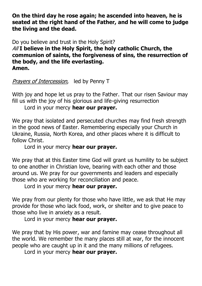**On the third day he rose again; he ascended into heaven, he is seated at the right hand of the Father, and he will come to judge the living and the dead.**

Do you believe and trust in the Holy Spirit?

All **I believe in the Holy Spirit, the holy catholic Church, the communion of saints, the forgiveness of sins, the resurrection of the body, and the life everlasting. Amen.**

Prayers of Intercession, led by Penny T

With joy and hope let us pray to the Father. That our risen Saviour may fill us with the joy of his glorious and life-giving resurrection

Lord in your mercy **hear our prayer.**

We pray that isolated and persecuted churches may find fresh strength in the good news of Easter. Remembering especially your Church in Ukraine, Russia, North Korea, and other places where it is difficult to follow Christ.

Lord in your mercy **hear our prayer.**

We pray that at this Easter time God will grant us humility to be subject to one another in Christian love, bearing with each other and those around us. We pray for our governments and leaders and especially those who are working for reconciliation and peace.

Lord in your mercy **hear our prayer.**

We pray from our plenty for those who have little, we ask that He may provide for those who lack food, work, or shelter and to give peace to those who live in anxiety as a result.

Lord in your mercy **hear our prayer.**

We pray that by His power, war and famine may cease throughout all the world. We remember the many places still at war, for the innocent people who are caught up in it and the many millions of refugees.

Lord in your mercy **hear our prayer.**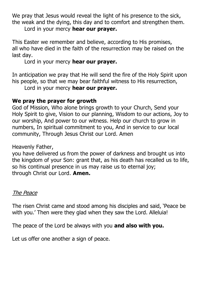We pray that Jesus would reveal the light of his presence to the sick, the weak and the dying, this day and to comfort and strengthen them.

Lord in your mercy **hear our prayer.**

This Easter we remember and believe, according to His promises, all who have died in the faith of the resurrection may be raised on the last day.

Lord in your mercy **hear our prayer.**

In anticipation we pray that He will send the fire of the Holy Spirit upon his people, so that we may bear faithful witness to His resurrection,

Lord in your mercy **hear our prayer.**

#### **We pray the prayer for growth**

God of Mission, Who alone brings growth to your Church, Send your Holy Spirit to give, Vision to our planning, Wisdom to our actions, Joy to our worship, And power to our witness. Help our church to grow in numbers, In spiritual commitment to you, And in service to our local community, Through Jesus Christ our Lord. Amen

Heavenly Father,

you have delivered us from the power of darkness and brought us into the kingdom of your Son: grant that, as his death has recalled us to life, so his continual presence in us may raise us to eternal joy; through Christ our Lord. **Amen.**

## The Peace

The risen Christ came and stood among his disciples and said, 'Peace be with you.' Then were they glad when they saw the Lord. Alleluia!

The peace of the Lord be always with you **and also with you.**

Let us offer one another a sign of peace.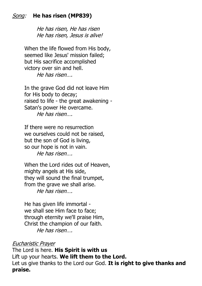#### Song: **He has risen (MP839)**

He has risen, He has risen He has risen, Jesus is alive!

When the life flowed from His body, seemed like Jesus' mission failed; but His sacrifice accomplished victory over sin and hell. He has risen….

In the grave God did not leave Him for His body to decay; raised to life - the great awakening - Satan's power He overcame. He has risen….

If there were no resurrection we ourselves could not be raised, but the son of God is living, so our hope is not in vain. He has risen….

When the Lord rides out of Heaven, mighty angels at His side, they will sound the final trumpet, from the grave we shall arise. He has risen….

He has given life immortal we shall see Him face to face; through eternity we'll praise Him, Christ the champion of our faith. He has risen….

#### Eucharistic Prayer

The Lord is here. **His Spirit is with us**  Lift up your hearts. **We lift them to the Lord.** Let us give thanks to the Lord our God. **It is right to give thanks and praise.**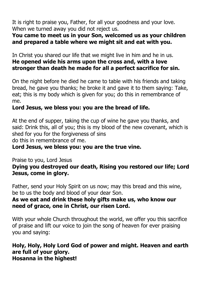It is right to praise you, Father, for all your goodness and your love. When we turned away you did not reject us.

#### **You came to meet us in your Son, welcomed us as your children and prepared a table where we might sit and eat with you.**

In Christ you shared our life that we might live in him and he in us. **He opened wide his arms upon the cross and, with a love stronger than death he made for all a perfect sacrifice for sin.**

On the night before he died he came to table with his friends and taking bread, he gave you thanks; he broke it and gave it to them saying: Take, eat; this is my body which is given for you; do this in remembrance of me.

#### **Lord Jesus, we bless you: you are the bread of life.**

At the end of supper, taking the cup of wine he gave you thanks, and said: Drink this, all of you; this is my blood of the new covenant, which is shed for you for the forgiveness of sins

do this in remembrance of me.

#### **Lord Jesus, we bless you: you are the true vine.**

Praise to you, Lord Jesus

#### **Dying you destroyed our death, Rising you restored our life; Lord Jesus, come in glory.**

Father, send your Holy Spirit on us now; may this bread and this wine, be to us the body and blood of your dear Son.

#### **As we eat and drink these holy gifts make us, who know our need of grace, one in Christ, our risen Lord.**

With your whole Church throughout the world, we offer you this sacrifice of praise and lift our voice to join the song of heaven for ever praising you and saying:

#### **Holy, Holy, Holy Lord God of power and might. Heaven and earth are full of your glory. Hosanna in the highest!**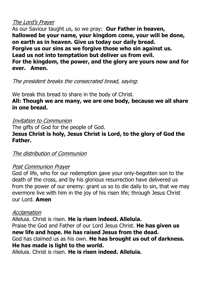# The Lord's Prayer

As our Saviour taught us, so we pray: **Our Father in heaven, hallowed be your name, your kingdom come, your will be done, on earth as in heaven. Give us today our daily bread. Forgive us our sins as we forgive those who sin against us. Lead us not into temptation but deliver us from evil. For the kingdom, the power, and the glory are yours now and for ever. Amen.**

## The president breaks the consecrated bread, saying:

We break this bread to share in the body of Christ. **All: Though we are many, we are one body, because we all share in one bread.**

#### Invitation to Communion

The gifts of God for the people of God. **Jesus Christ is holy, Jesus Christ is Lord, to the glory of God the Father.** 

## The distribution of Communion

## Post Communion Prayer

God of life, who for our redemption gave your only-begotten son to the death of the cross, and by his glorious resurrection have delivered us from the power of our enemy: grant us so to die daily to sin, that we may evermore live with him in the joy of his risen life; through Jesus Christ our Lord. **Amen** 

#### Acclamation

Alleluia. Christ is risen. **He is risen indeed. Alleluia.**

Praise the God and Father of our Lord Jesus Christ. **He has given us new life and hope. He has raised Jesus from the dead.**

God has claimed us as his own. **He has brought us out of darkness. He has made is light to the world.**

Alleluia. Christ is risen. **He is risen indeed. Alleluia.**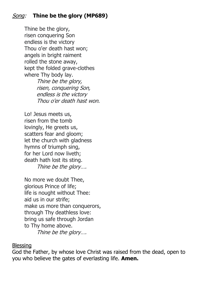# Song: **Thine be the glory (MP689)**

Thine be the glory, risen conquering Son endless is the victory Thou o'er death hast won; angels in bright raiment rolled the stone away, kept the folded grave-clothes where Thy body lay.

Thine be the glory, risen, conquering Son, endless is the victory Thou o'er death hast won.

Lo! Jesus meets us, risen from the tomb lovingly, He greets us, scatters fear and gloom; let the church with gladness hymns of triumph sing, for her Lord now liveth; death hath lost its sting. Thine be the glory….

No more we doubt Thee, glorious Prince of life; life is nought without Thee: aid us in our strife; make us more than conquerors, through Thy deathless love: bring us safe through Jordan to Thy home above. Thine be the glory….

#### **Blessing**

God the Father, by whose love Christ was raised from the dead, open to you who believe the gates of everlasting life. **Amen.**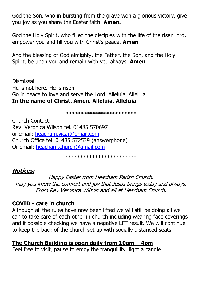God the Son, who in bursting from the grave won a glorious victory, give you joy as you share the Easter faith. **Amen.** 

God the Holy Spirit, who filled the disciples with the life of the risen lord, empower you and fill you with Christ's peace. **Amen**

And the blessing of God almighty, the Father, the Son, and the Holy Spirit, be upon you and remain with you always. **Amen** 

Dismissal He is not here. He is risen. Go in peace to love and serve the Lord. Alleluia. Alleluia. **In the name of Christ. Amen. Alleluia, Alleluia.** 

\*\*\*\*\*\*\*\*\*\*\*\*\*\*\*\*\*\*\*\*\*\*\*\*

Church Contact: Rev. Veronica Wilson tel. 01485 570697 or email: [heacham.vicar@gmail.com](mailto:heacham.vicar@gmail.com) Church Office tel. 01485 572539 (answerphone) Or email: [heacham.church@gmail.com](mailto:heacham.church@gmail.com)

\*\*\*\*\*\*\*\*\*\*\*\*\*\*\*\*\*\*\*\*\*\*\*\*

#### **Notices:**

Happy Easter from Heacham Parish Church, may you know the comfort and joy that Jesus brings today and always. From Rev Veronica Wilson and all at Heacham Church.

#### **COVID - care in church**

Although all the rules have now been lifted we will still be doing all we can to take care of each other in church including wearing face coverings and if possible checking we have a negative LFT result. We will continue to keep the back of the church set up with socially distanced seats.

#### **The Church Building is open daily from 10am – 4pm**

Feel free to visit, pause to enjoy the tranquillity, light a candle.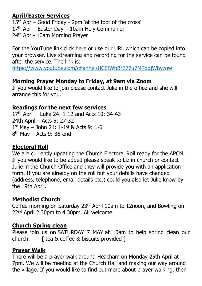# **April/Easter Services**

15th Apr – Good Friday - 2pm 'at the foot of the cross'  $17<sup>th</sup>$  Apr – Easter Day – 10am Holy Communion 24th Apr - 10am Morning Prayer

For the YouTube link click [here](https://www.youtube.com/channel/UCEfWbBrE77u7MPpdjWtwzow) or use our URL which can be copied into your browser. Live streaming and recording for the service can be found after the service. The link is:

<https://www.youtube.com/channel/UCEfWbBrE77u7MPpdjWtwzow>

# **Morning Prayer Monday to Friday, at 9am via Zoom**

If you would like to join please contact Julie in the office and she will arrange this for you.

## **Readings for the next few services**

 th April – Luke 24: 1-12 and Acts 10: 34-43 24th April – Acts 5: 27-32 st May – John 21: 1-19 & Acts 9: 1-6 th May – Acts 9: 36-end

## **Electoral Roll**

We are currently updating the Church Electoral Roll ready for the APCM. If you would like to be added please speak to Liz in church or contact Julie in the Church Office and they will provide you with an application form. If you are already on the roll but your details have changed (address, telephone, email details etc.) could you also let Julie know by the 19th April.

# **Methodist Church**

Coffee morning on Saturday 23rd April 10am to 12noon, and Bowling on 22<sup>nd</sup> April 2.30pm to 4.30pm. All welcome.

# **Church Spring clean**

Please join us on SATURDAY 7 MAY at 10am to help spring clean our church. [ tea & coffee & biscuits provided ]

# **Prayer Walk**

There will be a prayer walk around Heacham on Monday 25th April at 7pm. We will be meeting at the Church Hall and making our way around the village. If you would like to find out more about prayer walking, then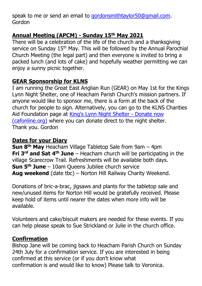speak to me or send an email to *gordonsmithtaylor*50@gmail.com. Gordon

# **Annual Meeting (APCM) - Sunday 15th May 2021**

There will be a celebration of the life of the church and a thanksgiving service on Sunday 15<sup>th</sup> May. This will be followed by the Annual Parochial Church Meeting (the legal part) and then everyone is invited to bring a packed lunch (and lots of cake) and hopefully weather permitting we can enjoy a sunny picnic together.

# **GEAR Sponsorship for KLNS**

I am running the Great East Anglian Run (GEAR) on May 1st for the Kings Lynn Night Shelter, one of Heacham Parish Church's mission partners. If anyone would like to sponsor me, there is a form at the back of the church for people to sign. Alternatively, you can go to the KLNS Charities Aid Foundation page at [King's Lynn Night Shelter -](https://cafdonate.cafonline.org/10347#!/DonationDetails) Donate now [\(cafonline.org\)](https://cafdonate.cafonline.org/10347#!/DonationDetails) where you can donate direct to the night shelter. Thank you. Gordon

# **Dates for your Diary**

**Sun 8th May** Heacham Village Tabletop Sale from 9am – 4pm **Fri 3rd and Sat 4th June** – Heacham church will be participating in the village Scarecrow Trail. Refreshments will be available both days. **Sun 5th June** – 10am Queens Jubilee church service **Aug weekend** (date tbc) – Norton Hill Railway Charity Weekend.

Donations of bric-a-brac, jigsaws and plants for the tabletop sale and new/unused items for Norton Hill would be gratefully received. Please keep hold of items until nearer the dates when more info will be available.

Volunteers and cake/biscuit makers are needed for these events. If you can help please speak to Sue Strickland or Julie in the church office.

# **Confirmation**

Bishop Jane will be coming back to Heacham Parish Church on Sunday 24th July for a confirmation service. If you are interested in being confirmed at this service (or if you don't know what confirmation is and would like to know) Please talk to Veronica.